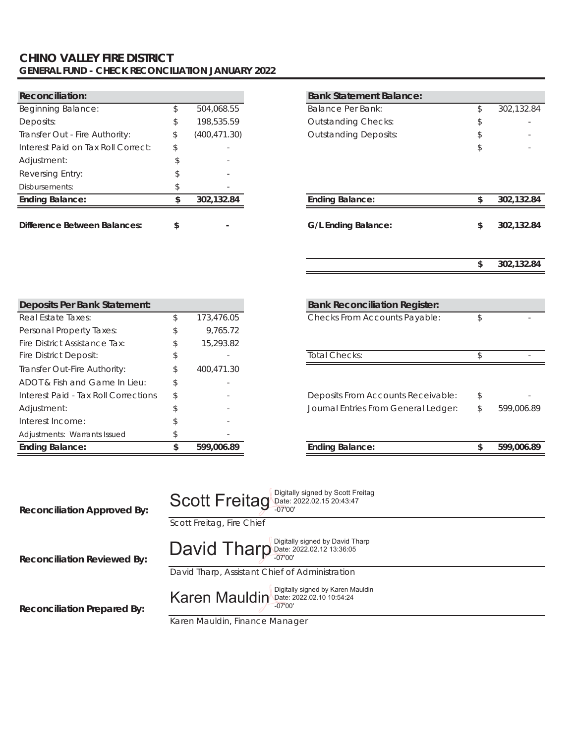### **CHINO VALLEY FIRE DISTRICT GENERAL FUND - CHECK RECONCILIATION JANUARY 2022**

| <b>Reconciliation:</b>              |    |               | <b>Bank Statement Balance:</b> |          |
|-------------------------------------|----|---------------|--------------------------------|----------|
| <b>Beginning Balance:</b>           |    | 504,068.55    | <b>Balance Per Bank:</b>       | 302,132. |
| Deposits:                           | \$ | 198,535.59    | <b>Outstanding Checks:</b>     | ٠        |
| Transfer Out - Fire Authority:      | S  | (400, 471.30) | <b>Outstanding Deposits:</b>   |          |
| Interest Paid on Tax Roll Correct:  | \$ |               |                                |          |
| Adjustment:                         |    |               |                                |          |
| Reversing Entry:                    |    |               |                                |          |
| Disbursements:                      |    |               |                                |          |
| <b>Ending Balance:</b>              |    | 302,132.84    | <b>Ending Balance:</b>         | 302.132. |
| <b>Difference Between Balances:</b> |    |               | G/L Ending Balance:            | 302.132. |

| <b>Reconciliation:</b>                                                                                                                 |    |               | <b>Bank Statement Balance:</b>           |    |
|----------------------------------------------------------------------------------------------------------------------------------------|----|---------------|------------------------------------------|----|
| Beginning Balance:                                                                                                                     | \$ | 504,068.55    | <b>Balance Per Bank:</b>                 | \$ |
| Deposits:                                                                                                                              | \$ | 198,535.59    | <b>Outstanding Checks:</b>               |    |
| Transfer Out - Fire Authority:                                                                                                         | \$ | (400, 471.30) | <b>Outstanding Deposits:</b>             |    |
| Interest Paid on Tax Roll Correct:                                                                                                     | S  |               |                                          |    |
| Adjustment:                                                                                                                            |    |               |                                          |    |
| Reversing Entry:                                                                                                                       |    |               |                                          |    |
| Disbursements:                                                                                                                         | \$ |               |                                          |    |
| <b>Ending Balance:</b>                                                                                                                 | \$ | 302,132.84    | <b>Ending Balance:</b>                   | \$ |
|                                                                                                                                        |    |               |                                          |    |
| <b>Difference Between Balances:</b>                                                                                                    | \$ |               | <b>G/L Ending Balance:</b>               | \$ |
|                                                                                                                                        |    |               |                                          |    |
|                                                                                                                                        |    |               |                                          |    |
|                                                                                                                                        |    |               |                                          | \$ |
|                                                                                                                                        |    |               |                                          |    |
|                                                                                                                                        |    |               |                                          |    |
| Deposits Per Bank Statement:                                                                                                           |    |               | <b>Bank Reconciliation Register:</b>     |    |
| Real Estate Taxes:                                                                                                                     | \$ | 173,476.05    | Checks From Accounts Payable:            | \$ |
| Personal Property Taxes:                                                                                                               |    | 9,765.72      |                                          |    |
| Fire District Assistance Tax:                                                                                                          | \$ | 15,293.82     |                                          |    |
| Fire District Deposit:                                                                                                                 |    |               | <b>Total Checks:</b>                     | \$ |
| Transfer Out-Fire Authority:                                                                                                           |    | 400,471.30    |                                          |    |
| ADOT & Fish and Game In Lieu:                                                                                                          |    |               |                                          |    |
| $L = L = L = L$ $\mathbb{R} = L = 1$ . The $\mathbb{R} = \mathbb{R} = \mathbb{R} = 1$ . The $\mathbb{R} = \mathbb{R} = \mathbb{R} = 1$ |    |               | Desenville Fances Announced Dennets also |    |

| <b>Deposits Per Bank Statement:</b>  |                  |
|--------------------------------------|------------------|
| Real Estate Taxes:                   | \$<br>173,476.05 |
| Personal Property Taxes:             | \$<br>9.765.72   |
| Fire District Assistance Tax:        | \$<br>15,293.82  |
| Fire District Deposit:               | \$               |
| Transfer Out-Fire Authority:         | \$<br>400,471.30 |
| ADOT & Fish and Game In Lieu:        | \$               |
| Interest Paid - Tax Roll Corrections | \$               |
| Adjustment:                          | \$               |
| Interest Income:                     | \$               |
| Adjustments: Warrants Issued         | \$               |
| <b>Ending Balance:</b>               | \$<br>599,006.89 |

| Fire District Assistance Tax:        | 15,293.82  |                                      |            |
|--------------------------------------|------------|--------------------------------------|------------|
| Fire District Deposit:               |            | Total Checks:                        |            |
| Transfer Out-Fire Authority:         | 400,471.30 |                                      |            |
| ADOT & Fish and Game In Lieu:        |            |                                      |            |
| Interest Paid - Tax Roll Corrections |            | Deposits From Accounts Receivable:   |            |
| Adjustment:                          |            | Journal Entries From General Ledger: | 599,006.89 |
|                                      |            |                                      |            |

**Ending Balance: 599,006.89 \$ Ending Balance: 599,006.89 \$**

| <b>Reconciliation Approved By:</b> | Scott Freitag Digitally signed by Scott Freitag<br>Scott Freitag, Fire Chief                                                |
|------------------------------------|-----------------------------------------------------------------------------------------------------------------------------|
| <b>Reconciliation Reviewed By:</b> | David Tharp Digitally signed by David Tharp<br>David Tharp, Assistant Chief of Administration                               |
| <b>Reconciliation Prepared By:</b> | Digitally signed by Karen Mauldin<br>Karen Mauldin Date: 2022.02.10 10:54:24<br>$-07'00'$<br>Karen Mauldin, Finance Manager |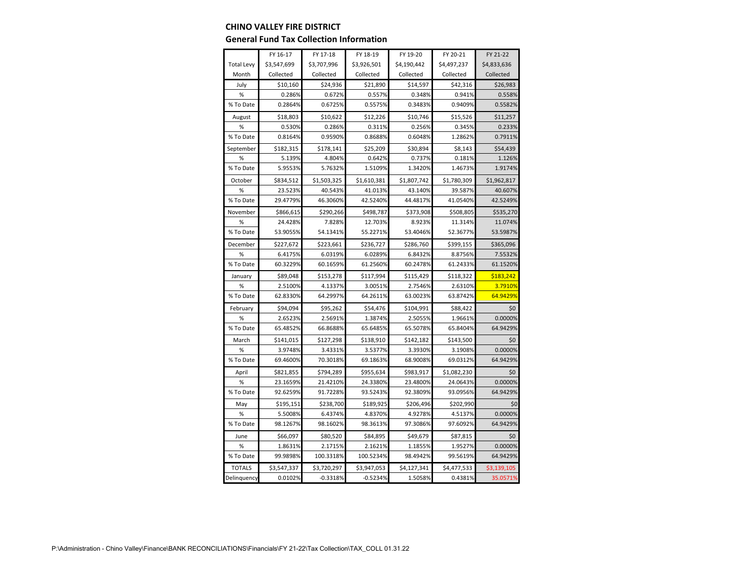#### **CHINO VALLEY FIRE DISTRICT**

#### **General Fund Tax Collection Information**

|                   | FY 16-17    | FY 17-18    | FY 18-19    | FY 19-20    | FY 20-21    | FY 21-22    |
|-------------------|-------------|-------------|-------------|-------------|-------------|-------------|
| <b>Total Levy</b> | \$3,547,699 | \$3,707,996 | \$3,926,501 | \$4,190,442 | \$4,497,237 | \$4,833,636 |
| Month             | Collected   | Collected   | Collected   | Collected   | Collected   | Collected   |
| July              | \$10,160    | \$24,936    | \$21,890    | \$14,597    | \$42,316    | \$26,983    |
| $\%$              | 0.286%      | 0.672%      | 0.557%      | 0.348%      | 0.941%      | 0.558%      |
| % To Date         | 0.2864%     | 0.6725%     | 0.5575%     | 0.3483%     | 0.9409%     | 0.5582%     |
| August            | \$18,803    | \$10,622    | \$12,226    | \$10,746    | \$15,526    | \$11,257    |
| %                 | 0.530%      | 0.286%      | 0.311%      | 0.256%      | 0.345%      | 0.233%      |
| % To Date         | 0.8164%     | 0.9590%     | 0.8688%     | 0.6048%     | 1.2862%     | 0.7911%     |
| September         | \$182,315   | \$178,141   | \$25,209    | \$30,894    | \$8,143     | \$54,439    |
| %                 | 5.139%      | 4.804%      | 0.642%      | 0.737%      | 0.181%      | 1.126%      |
| % To Date         | 5.9553%     | 5.7632%     | 1.5109%     | 1.3420%     | 1.4673%     | 1.9174%     |
| October           | \$834,512   | \$1,503,325 | \$1,610,381 | \$1,807,742 | \$1,780,309 | \$1,962,817 |
| $\%$              | 23.523%     | 40.543%     | 41.013%     | 43.140%     | 39.587%     | 40.607%     |
| % To Date         | 29.4779%    | 46.3060%    | 42.5240%    | 44.4817%    | 41.0540%    | 42.5249%    |
| November          | \$866,615   | \$290,266   | \$498,787   | \$373,908   | \$508,805   | \$535,270   |
| %                 | 24.428%     | 7.828%      | 12.703%     | 8.923%      | 11.314%     | 11.074%     |
| % To Date         | 53.9055%    | 54.1341%    | 55.2271%    | 53.4046%    | 52.3677%    | 53.5987%    |
| December          | \$227,672   | \$223,661   | \$236,727   | \$286,760   | \$399,155   | \$365,096   |
| $\%$              | 6.4175%     | 6.0319%     | 6.0289%     | 6.8432%     | 8.8756%     | 7.5532%     |
| % To Date         | 60.3229%    | 60.1659%    | 61.2560%    | 60.2478%    | 61.2433%    | 61.1520%    |
| January           | \$89,048    | \$153,278   | \$117,994   | \$115,429   | \$118,322   | \$183,242   |
| $\%$              | 2.5100%     | 4.1337%     | 3.0051%     | 2.7546%     | 2.6310%     | 3.7910%     |
| % To Date         | 62.8330%    | 64.2997%    | 64.2611%    | 63.0023%    | 63.8742%    | 64.9429%    |
| February          | \$94,094    | \$95,262    | \$54,476    | \$104,991   | \$88,422    | \$0         |
| %                 | 2.6523%     | 2.5691%     | 1.3874%     | 2.5055%     | 1.9661%     | 0.0000%     |
| % To Date         | 65.4852%    | 66.8688%    | 65.6485%    | 65.5078%    | 65.8404%    | 64.9429%    |
| March             | \$141,015   | \$127,298   | \$138,910   | \$142,182   | \$143,500   | \$0         |
| %                 | 3.9748%     | 3.4331%     | 3.5377%     | 3.3930%     | 3.1908%     | 0.0000%     |
| % To Date         | 69.4600%    | 70.3018%    | 69.1863%    | 68.9008%    | 69.0312%    | 64.9429%    |
| April             | \$821,855   | \$794,289   | \$955,634   | \$983,917   | \$1,082,230 | \$0         |
| $\%$              | 23.1659%    | 21.4210%    | 24.3380%    | 23.4800%    | 24.0643%    | 0.0000%     |
| % To Date         | 92.6259%    | 91.7228%    | 93.5243%    | 92.3809%    | 93.0956%    | 64.9429%    |
| May               | \$195,151   | \$238,700   | \$189,925   | \$206,496   | \$202,990   | \$0         |
| $\%$              | 5.5008%     | 6.4374%     | 4.8370%     | 4.9278%     | 4.5137%     | 0.0000%     |
| % To Date         | 98.1267%    | 98.1602%    | 98.3613%    | 97.3086%    | 97.6092%    | 64.9429%    |
| June              | \$66,097    | \$80,520    | \$84,895    | \$49,679    | \$87,815    | \$0         |
| %                 | 1.8631%     | 2.1715%     | 2.1621%     | 1.1855%     | 1.9527%     | 0.0000%     |
| % To Date         | 99.9898%    | 100.3318%   | 100.5234%   | 98.4942%    | 99.5619%    | 64.9429%    |
| <b>TOTALS</b>     | \$3,547,337 | \$3,720,297 | \$3,947,053 | \$4,127,341 | \$4,477,533 | \$3,139,105 |
| Delinquency       | 0.0102%     | $-0.3318%$  | $-0.5234%$  | 1.5058%     | 0.4381%     | 35.0571%    |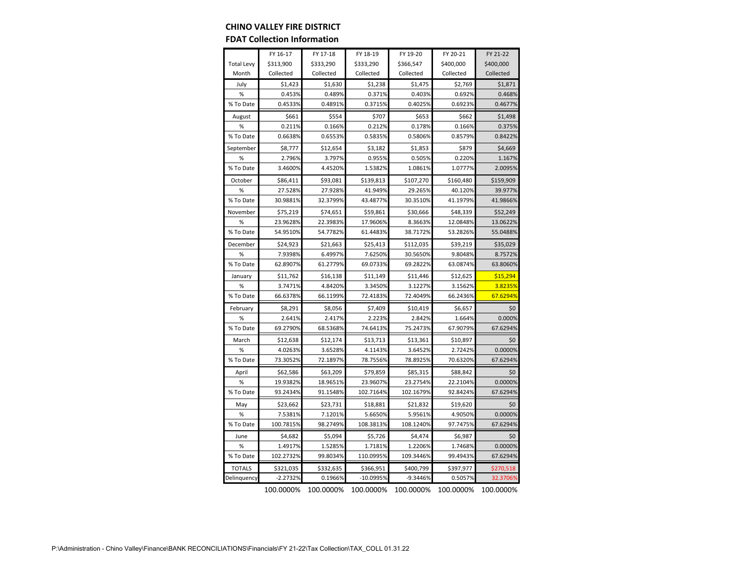### **CHINO VALLEY FIRE DISTRICT**

#### **FDAT Collection Information**

|                   | FY 16-17   | FY 17-18  | FY 18-19  | FY 19-20   | FY 20-21  | FY 21-22  |
|-------------------|------------|-----------|-----------|------------|-----------|-----------|
| <b>Total Levy</b> | \$313,900  | \$333,290 | \$333,290 | \$366,547  | \$400,000 | \$400,000 |
| Month             | Collected  | Collected | Collected | Collected  | Collected | Collected |
| July              | \$1,423    | \$1,630   | \$1,238   | \$1,475    | \$2,769   | \$1,871   |
| %                 | 0.453%     | 0.489%    | 0.371%    | 0.403%     | 0.692%    | 0.468%    |
| % To Date         | 0.4533%    | 0.4891%   | 0.3715%   | 0.4025%    | 0.6923%   | 0.4677%   |
| August            | \$661      | \$554     | \$707     | \$653      | \$662     | \$1,498   |
| %                 | 0.211%     | 0.166%    | 0.212%    | 0.178%     | 0.166%    | 0.375%    |
| % To Date         | 0.6638%    | 0.6553%   | 0.5835%   | 0.5806%    | 0.8579%   | 0.8422%   |
| September         | \$8,777    | \$12,654  | \$3,182   | \$1,853    | \$879     | \$4,669   |
| %                 | 2.796%     | 3.797%    | 0.955%    | 0.505%     | 0.220%    | 1.167%    |
| % To Date         | 3.4600%    | 4.4520%   | 1.5382%   | 1.0861%    | 1.0777%   | 2.0095%   |
| October           | \$86,411   | \$93,081  | \$139,813 | \$107,270  | \$160,480 | \$159,909 |
| %                 | 27.528%    | 27.928%   | 41.949%   | 29.265%    | 40.120%   | 39.977%   |
| % To Date         | 30.9881%   | 32.3799%  | 43.4877%  | 30.3510%   | 41.1979%  | 41.9866%  |
| November          | \$75,219   | \$74,651  | \$59,861  | \$30,666   | \$48,339  | \$52,249  |
| %                 | 23.9628%   | 22.3983%  | 17.9606%  | 8.3663%    | 12.0848%  | 13.0622%  |
| % To Date         | 54.9510%   | 54.7782%  | 61.4483%  | 38.7172%   | 53.2826%  | 55.0488%  |
| December          | \$24,923   | \$21,663  | \$25,413  | \$112,035  | \$39,219  | \$35,029  |
| %                 | 7.9398%    | 6.4997%   | 7.6250%   | 30.5650%   | 9.8048%   | 8.7572%   |
| % To Date         | 62.8907%   | 61.2779%  | 69.0733%  | 69.2822%   | 63.0874%  | 63.8060%  |
| January           | \$11,762   | \$16,138  | \$11,149  | \$11,446   | \$12,625  | \$15,294  |
| %                 | 3.7471%    | 4.8420%   | 3.3450%   | 3.1227%    | 3.1562%   | 3.8235%   |
| % To Date         | 66.6378%   | 66.1199%  | 72.4183%  | 72.4049%   | 66.2436%  | 67.6294%  |
| February          | \$8,291    | \$8,056   | \$7,409   | \$10,419   | \$6,657   | \$0       |
| %                 | 2.641%     | 2.417%    | 2.223%    | 2.842%     | 1.664%    | 0.000%    |
| % To Date         | 69.2790%   | 68.5368%  | 74.6413%  | 75.2473%   | 67.9079%  | 67.6294%  |
| March             | \$12,638   | \$12,174  | \$13,713  | \$13,361   | \$10,897  | \$0       |
| %                 | 4.0263%    | 3.6528%   | 4.1143%   | 3.6452%    | 2.7242%   | 0.0000%   |
| % To Date         | 73.3052%   | 72.1897%  | 78.7556%  | 78.8925%   | 70.6320%  | 67.6294%  |
| April             | \$62,586   | \$63,209  | \$79,859  | \$85,315   | \$88,842  | \$0       |
| %                 | 19.9382%   | 18.9651%  | 23.9607%  | 23.2754%   | 22.2104%  | 0.0000%   |
| % To Date         | 93.2434%   | 91.1548%  | 102.7164% | 102.1679%  | 92.8424%  | 67.6294%  |
| May               | \$23,662   | \$23,731  | \$18,881  | \$21,832   | \$19,620  | \$0       |
| %                 | 7.5381%    | 7.1201%   | 5.6650%   | 5.9561%    | 4.9050%   | 0.0000%   |
| % To Date         | 100.7815%  | 98.2749%  | 108.3813% | 108.1240%  | 97.7475%  | 67.6294%  |
| June              | \$4,682    | \$5,094   | \$5,726   | \$4,474    | \$6,987   | \$0       |
| %                 | 1.4917%    | 1.5285%   | 1.7181%   | 1.2206%    | 1.7468%   | 0.0000%   |
| % To Date         | 102.2732%  | 99.8034%  | 110.0995% | 109.3446%  | 99.4943%  | 67.6294%  |
| <b>TOTALS</b>     | \$321,035  | \$332,635 | \$366,951 | \$400,799  | \$397,977 | \$270,518 |
| Delinquency       | $-2.2732%$ | 0.1966%   | -10.0995% | $-9.3446%$ | 0.5057%   | 32.3706%  |

100.0000% 100.0000% 100.0000% 100.0000% 100.0000% 100.0000%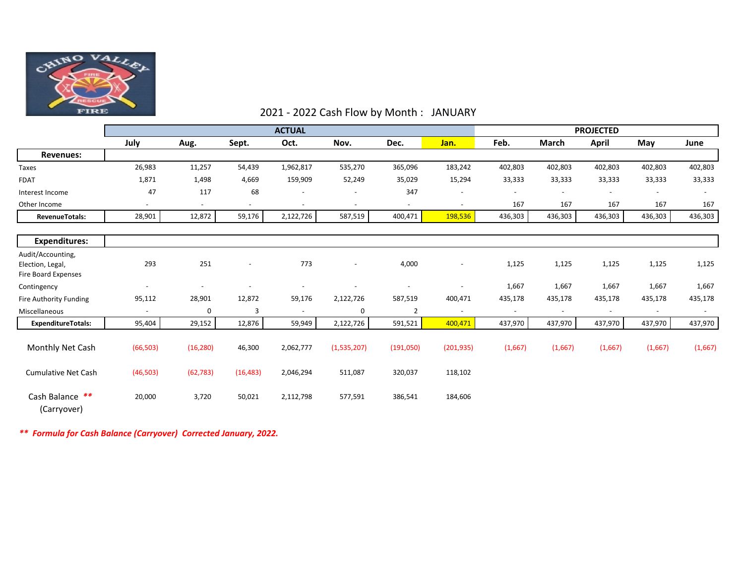

### 2021 - 2022 Cash Flow by Month : JANUARY

|                                                                     | <b>ACTUAL</b>            |                |                          |                          |                          |                          |                          |                          | <b>PROJECTED</b>         |                          |                          |                          |
|---------------------------------------------------------------------|--------------------------|----------------|--------------------------|--------------------------|--------------------------|--------------------------|--------------------------|--------------------------|--------------------------|--------------------------|--------------------------|--------------------------|
|                                                                     | July                     | Aug.           | Sept.                    | Oct.                     | Nov.                     | Dec.                     | Jan.                     | Feb.                     | <b>March</b>             | April                    | May                      | June                     |
| <b>Revenues:</b>                                                    |                          |                |                          |                          |                          |                          |                          |                          |                          |                          |                          |                          |
| Taxes                                                               | 26,983                   | 11,257         | 54,439                   | 1,962,817                | 535,270                  | 365,096                  | 183,242                  | 402,803                  | 402,803                  | 402,803                  | 402,803                  | 402,803                  |
| <b>FDAT</b>                                                         | 1,871                    | 1,498          | 4,669                    | 159,909                  | 52,249                   | 35,029                   | 15,294                   | 33,333                   | 33,333                   | 33,333                   | 33,333                   | 33,333                   |
| Interest Income                                                     | 47                       | 117            | 68                       | $\overline{\phantom{a}}$ |                          | 347                      | $\overline{\phantom{a}}$ | $\blacksquare$           |                          |                          | $\overline{\phantom{a}}$ |                          |
| Other Income                                                        | $\overline{\phantom{a}}$ | $\overline{a}$ | $\overline{\phantom{a}}$ | $\overline{\phantom{a}}$ | $\overline{\phantom{a}}$ | $\overline{\phantom{a}}$ | $\overline{\phantom{a}}$ | 167                      | 167                      | 167                      | 167                      | 167                      |
| <b>RevenueTotals:</b>                                               | 28,901                   | 12,872         | 59,176                   | 2,122,726                | 587,519                  | 400,471                  | 198,536                  | 436,303                  | 436,303                  | 436,303                  | 436,303                  | 436,303                  |
| <b>Expenditures:</b>                                                |                          |                |                          |                          |                          |                          |                          |                          |                          |                          |                          |                          |
| Audit/Accounting,<br>Election, Legal,<br><b>Fire Board Expenses</b> | 293                      | 251            | $\overline{\phantom{a}}$ | 773                      | $\overline{\phantom{a}}$ | 4,000                    | $\overline{\phantom{a}}$ | 1,125                    | 1,125                    | 1,125                    | 1,125                    | 1,125                    |
| Contingency                                                         | $\overline{\phantom{a}}$ |                |                          |                          |                          |                          | $\overline{\phantom{a}}$ | 1,667                    | 1,667                    | 1,667                    | 1,667                    | 1,667                    |
| Fire Authority Funding                                              | 95,112                   | 28,901         | 12,872                   | 59,176                   | 2,122,726                | 587,519                  | 400,471                  | 435,178                  | 435,178                  | 435,178                  | 435,178                  | 435,178                  |
| Miscellaneous                                                       | $\blacksquare$           | 0              | 3                        | $\overline{\phantom{a}}$ | 0                        | $\overline{2}$           | $\overline{\phantom{a}}$ | $\overline{\phantom{a}}$ | $\overline{\phantom{a}}$ | $\overline{\phantom{a}}$ | $\sim$                   | $\overline{\phantom{a}}$ |
| <b>ExpenditureTotals:</b>                                           | 95,404                   | 29,152         | 12,876                   | 59,949                   | 2,122,726                | 591,521                  | 400,471                  | 437,970                  | 437,970                  | 437,970                  | 437,970                  | 437,970                  |
| Monthly Net Cash                                                    | (66, 503)                | (16, 280)      | 46,300                   | 2,062,777                | (1,535,207)              | (191,050)                | (201, 935)               | (1,667)                  | (1,667)                  | (1,667)                  | (1,667)                  | (1,667)                  |
| <b>Cumulative Net Cash</b>                                          | (46, 503)                | (62, 783)      | (16, 483)                | 2,046,294                | 511,087                  | 320,037                  | 118,102                  |                          |                          |                          |                          |                          |
| Cash Balance **<br>(Carryover)                                      | 20,000                   | 3,720          | 50,021                   | 2,112,798                | 577,591                  | 386,541                  | 184,606                  |                          |                          |                          |                          |                          |

*\*\* Formula for Cash Balance (Carryover) Corrected January, 2022.*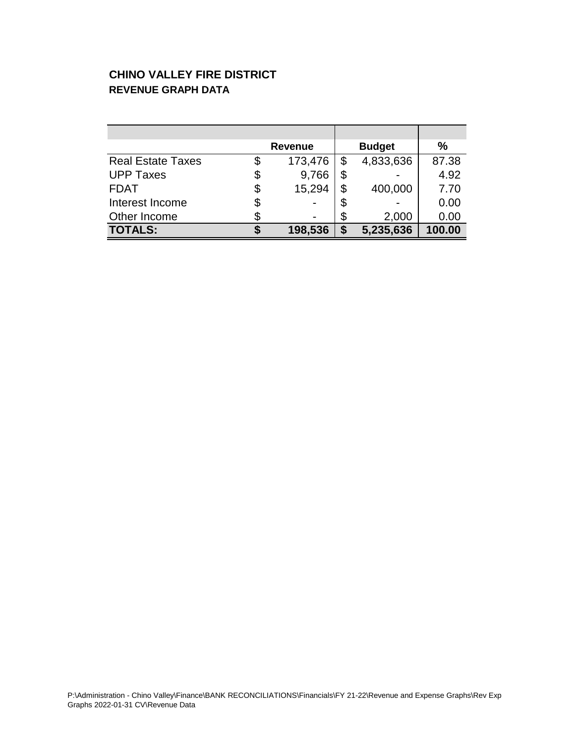### **CHINO VALLEY FIRE DISTRICT REVENUE GRAPH DATA**

|                          | <b>Revenue</b> |    | <b>Budget</b> | %      |
|--------------------------|----------------|----|---------------|--------|
| <b>Real Estate Taxes</b> | \$<br>173,476  | \$ | 4,833,636     | 87.38  |
| <b>UPP Taxes</b>         | 9,766          |    |               | 4.92   |
| <b>FDAT</b>              | \$<br>15,294   | \$ | 400,000       | 7.70   |
| Interest Income          | \$             |    |               | 0.00   |
| Other Income             |                | \$ | 2,000         | 0.00   |
| <b>TOTALS:</b>           | 198,536        | S  | 5,235,636     | 100.00 |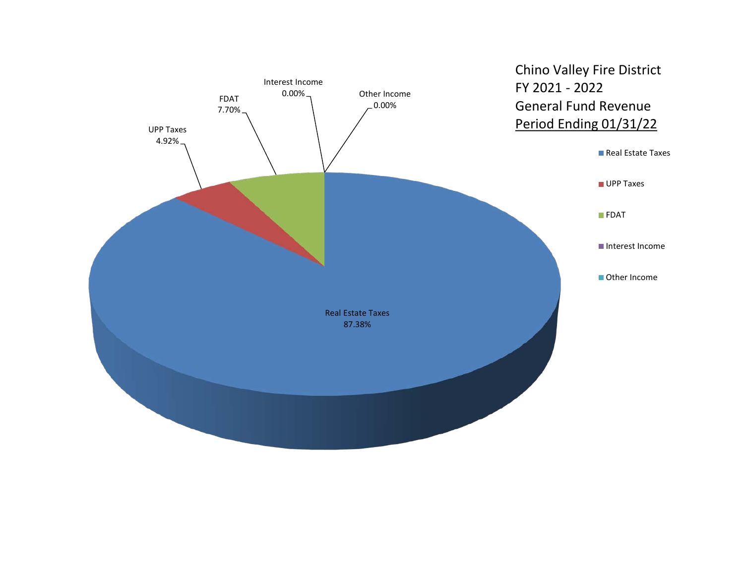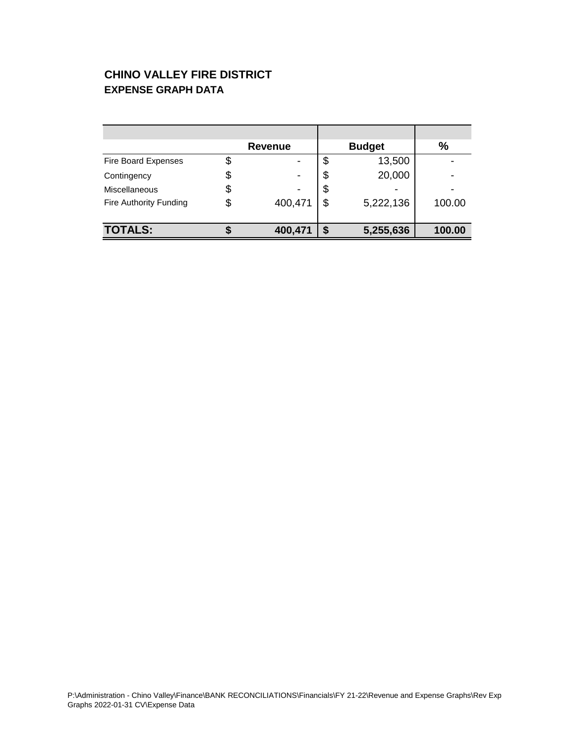### **CHINO VALLEY FIRE DISTRICT EXPENSE GRAPH DATA**

|                        | <b>Revenue</b> |    | <b>Budget</b> | %      |
|------------------------|----------------|----|---------------|--------|
| Fire Board Expenses    |                | \$ | 13,500        |        |
| Contingency            |                | S  | 20,000        |        |
| Miscellaneous          |                | \$ |               |        |
| Fire Authority Funding | 400,471        | \$ | 5,222,136     | 100.00 |
|                        |                |    |               |        |
| <b>TOTALS:</b>         | 400,471        |    | 5,255,636     | 100.00 |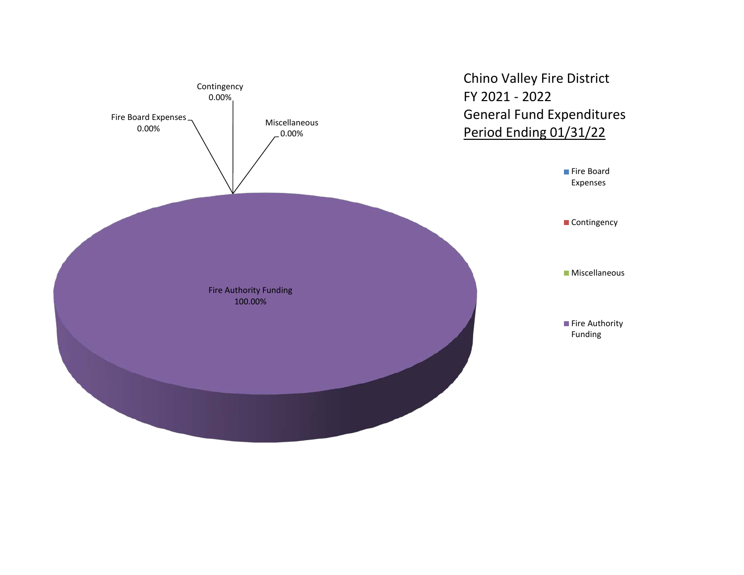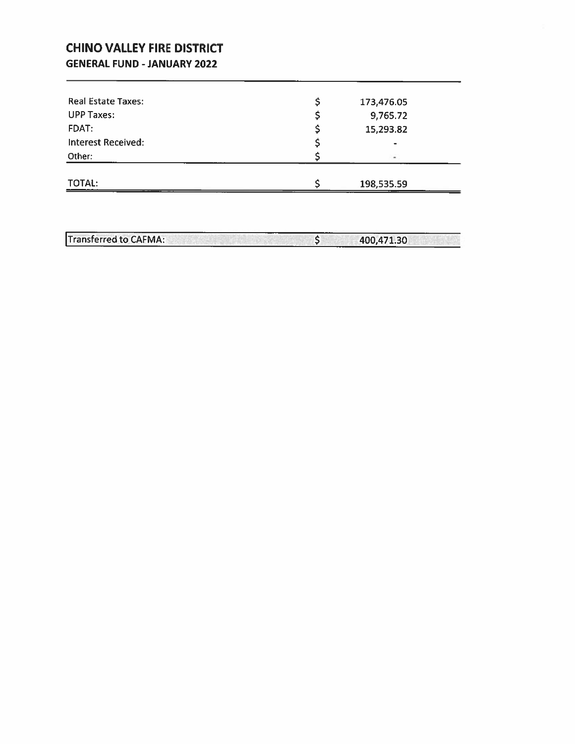### **CHINO VALLEY FIRE DISTRICT GENERAL FUND - JANUARY 2022**

| <b>TOTAL:</b>      | 198,535.59               |  |
|--------------------|--------------------------|--|
| Other:             | $\overline{\phantom{a}}$ |  |
| Interest Received: | $\overline{\phantom{0}}$ |  |
| FDAT:              | 15,293.82                |  |
| <b>UPP Taxes:</b>  | 9,765.72                 |  |
| Real Estate Taxes: | 173,476.05               |  |

Transferred to CAFMA:  $\overline{\phantom{0}}$ 400,471.30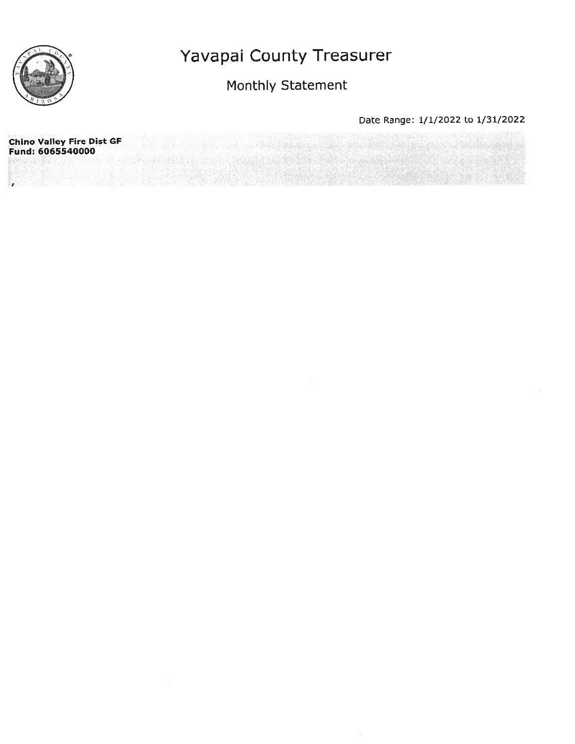

## Monthly Statement

Date Range: 1/1/2022 to 1/31/2022

**Chino Valley Fire Dist GF** Fund: 6065540000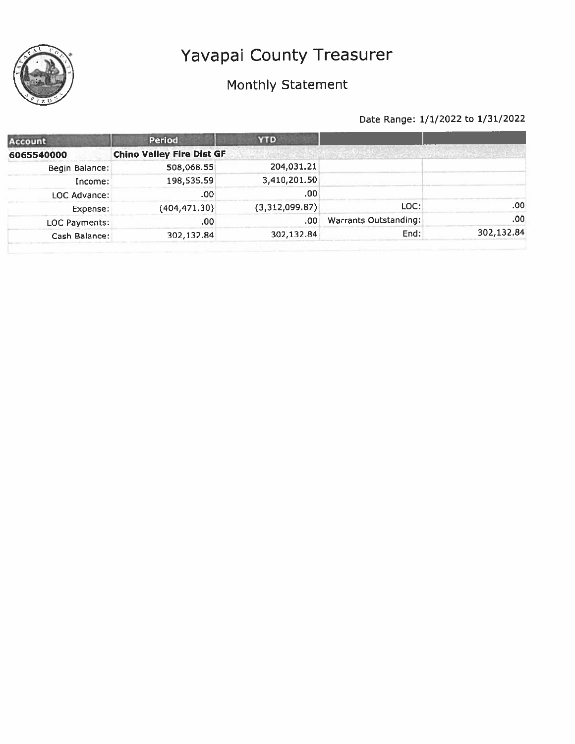

# Monthly Statement

| Account             | <b>Period</b>                    | <b>YTD</b>     |                       |            |
|---------------------|----------------------------------|----------------|-----------------------|------------|
| 6065540000          | <b>Chino Valley Fire Dist GF</b> |                |                       |            |
| Begin Balance:      | 508,068.55                       | 204,031.21     |                       |            |
| Income:             | 198,535.59                       | 3,410,201.50   |                       |            |
| <b>LOC Advance:</b> | .00                              | .00            |                       |            |
| Expense:            | (404, 471.30)                    | (3,312,099.87) | LOC:                  | .00.       |
| LOC Payments:       | .00.                             | .00            | Warrants Outstanding: | .00.       |
| Cash Balance:       | 302,132.84                       | 302,132.84     | End:                  | 302,132.84 |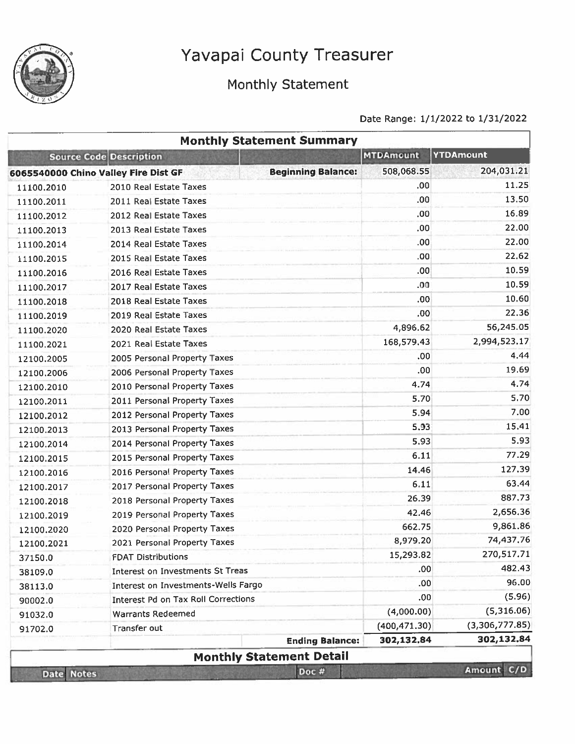

# Monthly Statement

|                   |                                      | <b>Monthly Statement Summary</b> |                  |                  |
|-------------------|--------------------------------------|----------------------------------|------------------|------------------|
|                   | <b>Source Code Description</b>       |                                  | <b>MTDAmount</b> | <b>YTDAmount</b> |
|                   | 6065540000 Chino Valley Fire Dist GF | <b>Beginning Balance:</b>        | 508,068.55       | 204,031.21       |
| 11100.2010        | 2010 Real Estate Taxes               |                                  | .00              | 11.25            |
| 11100.2011        | 2011 Real Estate Taxes               |                                  | .00.             | 13.50            |
| 11100.2012        | 2012 Real Estate Taxes               |                                  | .00              | 16.89            |
| 11100.2013        | 2013 Real Estate Taxes               |                                  | .00              | 22.00            |
| 11100.2014        | 2014 Real Estate Taxes               |                                  | .00              | 22.00            |
| 11100.2015        | 2015 Real Estate Taxes               |                                  | .00              | 22.62            |
| 11100.2016        | 2016 Real Estate Taxes               |                                  | .00              | 10.59            |
| 11100.2017        | 2017 Real Estate Taxes               |                                  | .00              | 10.59            |
| 11100.2018        | 2018 Real Estate Taxes               |                                  | .00              | 10.60            |
| 11100.2019        | 2019 Real Estate Taxes               |                                  | .00              | 22,36            |
| 11100.2020        | 2020 Real Estate Taxes               |                                  | 4,896.62         | 56,245.05        |
| 11100,2021        | 2021 Real Estate Taxes               |                                  | 168,579.43       | 2,994,523.17     |
| 12100.2005        | 2005 Personal Property Taxes         |                                  | .00              | 4.44             |
| 12100.2006        | 2006 Personal Property Taxes         |                                  | .00              | 19.69            |
| 12100.2010        | 2010 Personal Property Taxes         |                                  | 4.74             | 4.74             |
| 12100.2011        | 2011 Personal Property Taxes         |                                  | 5.70             | 5.70             |
| 12100.2012        | 2012 Personal Property Taxes         |                                  | 5.94             | 7.00             |
| 12100.2013        | 2013 Personal Property Taxes         |                                  | 5,93             | 15.41            |
| 12100.2014        | 2014 Personal Property Taxes         |                                  | 5.93             | 5.93             |
| 12100.2015        | 2015 Personal Property Taxes         |                                  | 6.11             | 77.29            |
| 12100.2016        | 2016 Personal Property Taxes         |                                  | 14.46            | 127.39           |
| 12100.2017        | 2017 Personal Property Taxes         |                                  | 6.11             | 63.44            |
| 12100.2018        | 2018 Personal Property Taxes         |                                  | 26.39            | 887.73           |
| 12100.2019        | 2019 Personal Property Taxes         |                                  | 42.46            | 2,656.36         |
| 12100.2020        | 2020 Personal Property Taxes         |                                  | 662.75           | 9,861.86         |
| 12100.2021        | 2021 Personal Property Taxes         |                                  | 8,979.20         | 74,437.76        |
| 37150.0           | <b>FDAT Distributions</b>            |                                  | 15,293.82        | 270,517.71       |
| 38109.0           | Interest on Investments St Treas     |                                  | .00              | 482.43           |
| 38113.0           | Interest on Investments-Wells Fargo  |                                  | .00              | 96.00            |
| 90002.0           | Interest Pd on Tax Roll Corrections  |                                  | .00              | (5.96)           |
| 91032.0           | <b>Warrants Redeemed</b>             |                                  | (4,000.00)       | (5,316.06)       |
| 91702.0           | Transfer out                         |                                  | (400.471.30)     | (3,306,777.85)   |
|                   |                                      | <b>Ending Balance:</b>           | 302,132.84       | 302,132.84       |
|                   |                                      | <b>Monthly Statement Detail</b>  |                  |                  |
| <b>Date Notes</b> |                                      | Doc #                            |                  | Amount C/D       |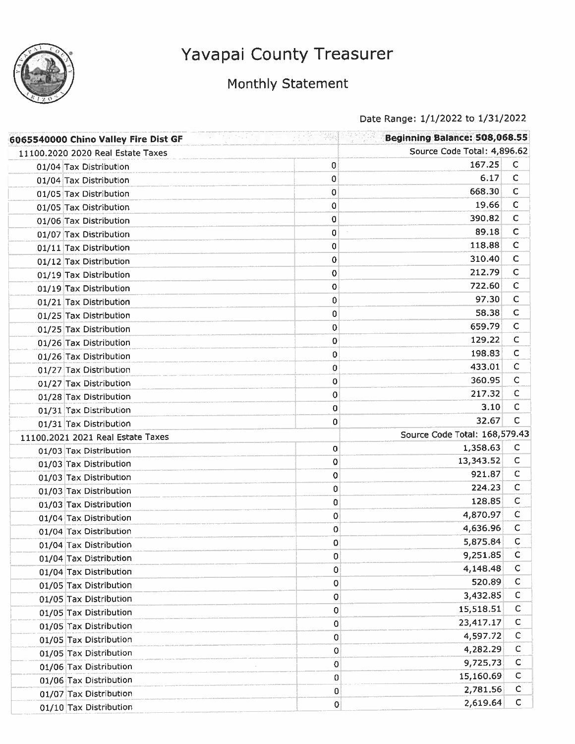

# Monthly Statement

| 6065540000 Chino Valley Fire Dist GF |   | Beginning Balance: 508,068.55 |              |
|--------------------------------------|---|-------------------------------|--------------|
| 11100.2020 2020 Real Estate Taxes    |   | Source Code Total: 4,896.62   |              |
| 01/04 Tax Distribution               | 0 | 167.25                        | $\mathsf{C}$ |
| 01/04 Tax Distribution               | 0 | 6.17                          | $\mathsf C$  |
| 01/05 Tax Distribution               | 0 | 668.30                        | $\mathsf C$  |
| 01/05 Tax Distribution               | 0 | 19.66                         | С            |
| 01/06 Tax Distribution               | 0 | 390.82                        | $\mathsf{C}$ |
| 01/07 Tax Distribution               | 0 | 89.18                         | С            |
| 01/11 Tax Distribution               | 0 | 118.88                        | С            |
| 01/12 Tax Distribution               | 0 | 310.40                        | $\mathsf{C}$ |
| 01/19 Tax Distribution               | 0 | 212.79                        | с            |
| 01/19 Tax Distribution               | 0 | 722.60                        | с            |
| 01/21 Tax Distribution               | 0 | 97.30                         | C            |
| 01/25 Tax Distribution               | 0 | 58.38                         | C            |
| 01/25 Tax Distribution               | 0 | 659.79                        | $\mathsf{C}$ |
| 01/26 Tax Distribution               | 0 | 129,22                        | C            |
| 01/26 Tax Distribution               | 0 | 198.83                        | C            |
| 01/27 Tax Distribution               | 0 | 433.01                        | С            |
| 01/27 Tax Distribution               | 0 | 360.95                        | C            |
| 01/28 Tax Distribution               | 0 | 217.32                        | C            |
| 01/31 Tax Distribution               | 0 | 3.10                          | с            |
| 01/31 Tax Distribution               | 0 | 32.67                         | C            |
| 11100.2021 2021 Real Estate Taxes    |   | Source Code Total: 168,579.43 |              |
| 01/03 Tax Distribution               | 0 | 1,358.63                      | $\mathsf{C}$ |
| 01/03 Tax Distribution               | 0 | 13,343.52                     | C            |
| 01/03 Tax Distribution               | 0 | 921.87                        | c            |
| 01/03 Tax Distribution               | 0 | 224.23                        | C            |
| 01/03 Tax Distribution               | 0 | 128.85                        | $\mathsf{C}$ |
| 01/04 Tax Distribution               | 0 | 4,870.97                      | $\mathsf{C}$ |
| 01/04 Tax Distribution               | 0 | 4,636.96                      | C            |
| 01/04 Tax Distribution               | 0 | 5,875.84                      | С            |
| 01/04 Tax Distribution               | 0 | 9,251.85                      | C            |
| 01/04 Tax Distribution               | 0 | 4,148.48                      | $\mathsf{C}$ |
| 01/05 Tax Distribution               | 0 | 520.89                        | $\mathsf{C}$ |
| 01/05 Tax Distribution               | 0 | 3,432.85                      | c            |
| 01/05 Tax Distribution               | 0 | 15,518.51                     | C            |
| 01/05 Tax Distribution               | 0 | 23,417.17                     | C            |
| 01/05 Tax Distribution               | 0 | 4,597.72                      | C            |
| 01/05 Tax Distribution               | 0 | 4,282.29                      | c            |
| 01/06 Tax Distribution               | 0 | 9,725.73                      | C            |
| 01/06 Tax Distribution               | 0 | 15,160.69                     | C            |
| 01/07 Tax Distribution               | 0 | 2,781.56                      | C            |
| 01/10 Tax Distribution               | 0 | 2,619.64                      | $\mathsf{C}$ |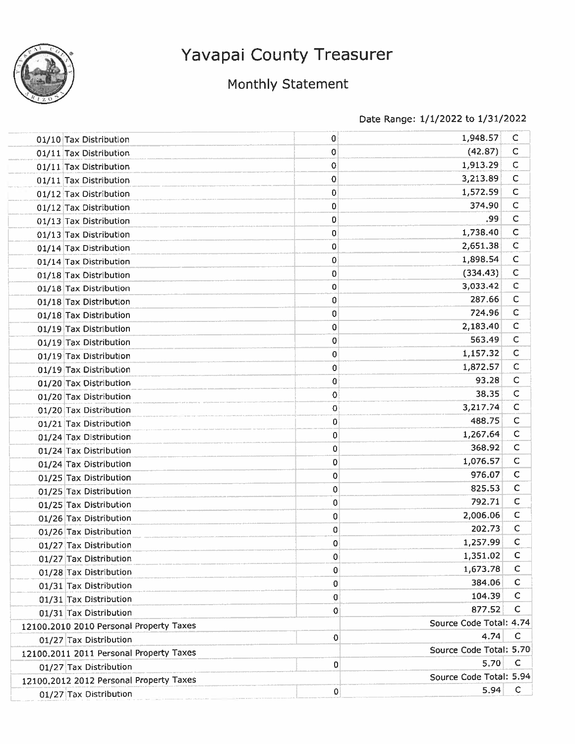

# Monthly Statement

| 01/10 Tax Distribution                  | 0           | 1,948.57                | C            |
|-----------------------------------------|-------------|-------------------------|--------------|
| 01/11 Tax Distribution                  | $\bf{0}$    | (42.87)                 | $\mathsf{C}$ |
| 01/11 Tax Distribution                  | 0           | 1,913.29                | $\mathsf C$  |
| 01/11 Tax Distribution                  | 0           | 3,213.89                | $\mathsf C$  |
| 01/12 Tax Distribution                  | 0           | 1,572.59                | $\mathsf C$  |
| 01/12 Tax Distribution                  | 0           | 374.90                  | $\mathsf C$  |
| 01/13 Tax Distribution                  | $\bf{0}$    | .99                     | $\mathsf{C}$ |
| 01/13 Tax Distribution                  | 0           | 1,738.40                | С            |
| 01/14 Tax Distribution                  | 0           | 2,651.38                | $\mathsf{C}$ |
| 01/14 Tax Distribution                  | 0           | 1,898.54                | $\mathsf{C}$ |
| 01/18 Tax Distribution                  | $\mathbf 0$ | (334.43)                | $\mathsf{C}$ |
| 01/18 Tax Distribution                  | 0           | 3,033.42                | $\mathsf C$  |
| 01/18 Tax Distribution                  | 0           | 287.66                  | $\mathsf C$  |
| 01/18 Tax Distribution                  | 0           | 724.96                  | C            |
| 01/19 Tax Distribution                  | 0           | 2,183.40                | $\mathsf C$  |
| 01/19 Tax Distribution                  | $\mathbf 0$ | 563.49                  | $\mathsf C$  |
| 01/19 Tax Distribution                  | 0           | 1,157.32                | $\mathsf{C}$ |
| 01/19 Tax Distribution                  | 0           | 1,872.57                | $\mathsf{C}$ |
| 01/20 Tax Distribution                  | 0           | 93.28                   | $\mathsf{C}$ |
| 01/20 Tax Distribution                  | 0           | 38.35                   | C            |
| 01/20 Tax Distribution                  | 0           | 3,217.74                | C            |
| 01/21 Tax Distribution                  | 0           | 488.75                  | C            |
| 01/24 Tax Distribution                  | 0           | 1,267.64                | $\mathsf{C}$ |
| 01/24 Tax Distribution                  | 0           | 368.92                  | $\mathsf{C}$ |
| 01/24 Tax Distribution                  | 0           | 1,076.57                | $\mathsf{C}$ |
| 01/25 Tax Distribution                  | 0           | 976.07                  | $\mathsf{C}$ |
| 01/25 Tax Distribution                  | 0           | 825.53                  | $\mathsf{C}$ |
| 01/25 Tax Distribution                  | 0           | 792.71                  | $\mathsf{C}$ |
| 01/26 Tax Distribution                  | 0           | 2,006.06                | C            |
| 01/26 Tax Distribution                  | 0           | 202.73                  | C            |
| 01/27 Tax Distribution                  | 0           | 1,257.99                | $\mathsf{C}$ |
| 01/27 Tax Distribution                  | 0           | 1,351.02                | C            |
| 01/28 Tax Distribution                  | 0           | 1,673.78                | C            |
| 01/31 Tax Distribution                  | 0           | 384.06                  | $\mathsf{C}$ |
| 01/31 Tax Distribution                  | 0           | 104.39                  | $\mathsf C$  |
| 01/31 Tax Distribution                  | 0           | 877.52                  | C            |
| 12100.2010 2010 Personal Property Taxes |             | Source Code Total: 4.74 |              |
| 01/27 Tax Distribution                  | 0           | 4.74                    | C            |
| 12100.2011 2011 Personal Property Taxes |             | Source Code Total: 5.70 |              |
| 01/27 Tax Distribution                  | $\mathbf 0$ | 5.70                    | C            |
| 12100.2012 2012 Personal Property Taxes |             | Source Code Total: 5.94 |              |
| 01/27 Tax Distribution                  | 0           | 5.94                    | C            |
|                                         |             |                         |              |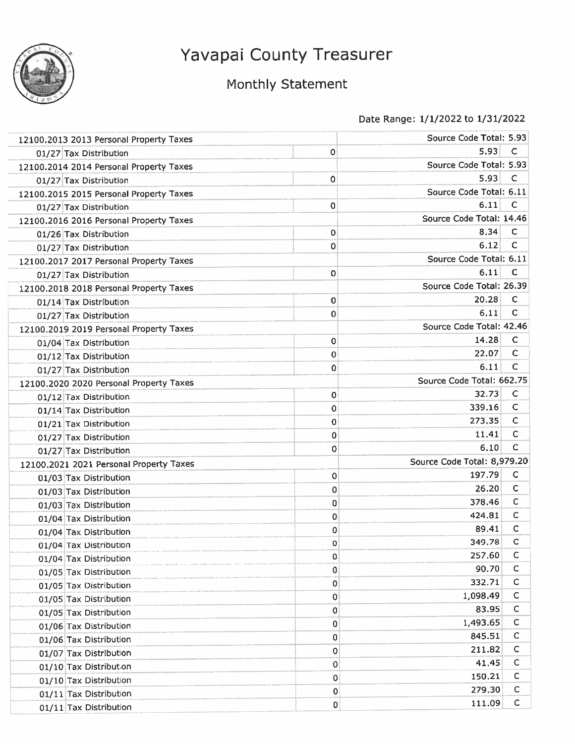

## Monthly Statement

| 12100.2013 2013 Personal Property Taxes |             | Source Code Total: 5.93     |              |
|-----------------------------------------|-------------|-----------------------------|--------------|
| 01/27 Tax Distribution                  | 0           | 5.93                        | C            |
| 12100.2014 2014 Personal Property Taxes |             | Source Code Total: 5.93     |              |
| 01/27 Tax Distribution                  | 0           | 5.93                        | C            |
| 12100.2015 2015 Personal Property Taxes |             | Source Code Total: 6.11     |              |
| 01/27 Tax Distribution                  | 0           | 6.11                        | c            |
| 12100.2016 2016 Personal Property Taxes |             | Source Code Total: 14.46    |              |
| 01/26 Tax Distribution                  | 0           | 8.34                        | C            |
| 01/27 Tax Distribution                  | 0           | 6.12                        | с            |
| 12100.2017 2017 Personal Property Taxes |             | Source Code Total: 6.11     |              |
| 01/27 Tax Distribution                  | 0           | 6.11                        | c            |
| 12100.2018 2018 Personal Property Taxes |             | Source Code Total: 26.39    |              |
| 01/14 Tax Distribution                  | 0           | 20.28                       | с            |
| 01/27 Tax Distribution                  | 0           | 6.11                        | С            |
| 12100.2019 2019 Personal Property Taxes |             | Source Code Total: 42.46    |              |
| 01/04 Tax Distribution                  | 0           | 14.28                       | C            |
| 01/12 Tax Distribution                  | 0           | 22.07                       | C            |
| 01/27 Tax Distribution                  | 0           | 6.11                        | $\mathsf C$  |
| 12100.2020 2020 Personal Property Taxes |             | Source Code Total: 662.75   |              |
| 01/12 Tax Distribution                  | 0           | 32.73                       | C            |
| 01/14 Tax Distribution                  | $\mathbf 0$ | 339.16                      | $\mathsf{C}$ |
| 01/21 Tax Distribution                  | 0           | 273.35                      | C            |
| 01/27 Tax Distribution                  | 0           | 11.41                       | $\mathsf{C}$ |
| 01/27 Tax Distribution                  | 0           | 6.10                        | C            |
| 12100.2021 2021 Personal Property Taxes |             | Source Code Total: 8,979.20 |              |
| 01/03 Tax Distribution                  | 0           | 197.79                      | C            |
| 01/03 Tax Distribution                  | 0           | 26.20                       | C            |
| 01/03 Tax Distribution                  | 0           | 378.46                      | C            |
| 01/04 Tax Distribution                  | 0           | 424.81                      | C            |
| 01/04 Tax Distribution                  | $\mathbf 0$ | 89.41                       | C            |
| 01/04 Tax Distribution                  | 0           | 349.78                      | C            |
| 01/04 Tax Distribution                  | 0           | 257.60                      | с            |
| 01/05 Tax Distribution                  | 0           | 90.70                       | С            |
| 01/05 Tax Distribution                  | 0           | 332.71                      | С            |
| 01/05 Tax Distribution                  | 0           | 1,098.49                    | С            |
| 01/05 Tax Distribution                  | 0           | 83.95                       | $\mathsf C$  |
| 01/06 Tax Distribution                  | 0           | 1,493.65                    | C            |
| 01/06 Tax Distribution                  | 0           | 845.51                      | $\mathsf{C}$ |
| 01/07 Tax Distribution                  | 0           | 211.82                      | С            |
| 01/10 Tax Distribution                  | 0           | 41,45                       | С            |
| 01/10 Tax Distribution                  | 0           | 150.21                      | С            |
| 01/11 Tax Distribution                  | 0           | 279.30                      | C            |
| 01/11 Tax Distribution                  | 0           | 111.09                      | $\mathsf{C}$ |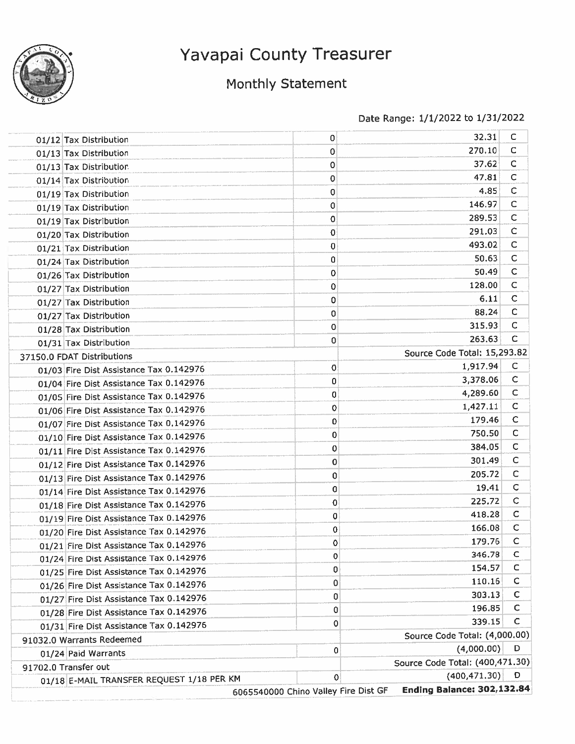

## Monthly Statement

| 01/12 Tax Distribution                    | 0                                    | 32.31                             | c            |
|-------------------------------------------|--------------------------------------|-----------------------------------|--------------|
| 01/13 Tax Distribution                    | 0                                    | 270.10                            | C            |
| 01/13 Tax Distribution                    | 0                                    | 37.62                             | c            |
| 01/14 Tax Distribution                    | 0                                    | 47.81                             | $\mathsf{C}$ |
| 01/19 Tax Distribution                    | 0                                    | 4.85                              | $\mathsf{C}$ |
| 01/19 Tax Distribution                    | 0                                    | 146.97                            | C            |
| 01/19 Tax Distribution                    | 0                                    | 289.53                            | C            |
| 01/20 Tax Distribution                    | 0                                    | 291.03                            | C            |
| 01/21 Tax Distribution                    | 0                                    | 493.02                            | C            |
| 01/24 Tax Distribution                    | 0                                    | 50.63                             | $\mathsf{C}$ |
| 01/26 Tax Distribution                    | 0                                    | 50.49                             | $\mathsf C$  |
| 01/27 Tax Distribution                    | 0                                    | 128.00                            | $\mathsf{C}$ |
| 01/27 Tax Distribution                    | 0                                    | 6.11                              | $\mathsf{C}$ |
| 01/27 Tax Distribution                    | 0                                    | 88.24                             | $\mathsf{C}$ |
| 01/28 Tax Distribution                    | 0                                    | 315.93                            | С            |
| 01/31 Tax Distribution                    | 0                                    | 263.63                            | c            |
| 37150.0 FDAT Distributions                |                                      | Source Code Total: 15,293.82      |              |
| 01/03 Fire Dist Assistance Tax 0.142976   | 0                                    | 1,917.94                          | $\mathsf{C}$ |
| 01/04 Fire Dist Assistance Tax 0.142976   | 0                                    | 3,378.06                          | $\mathsf C$  |
| 01/05 Fire Dist Assistance Tax 0.142976   | 0                                    | 4,289.60                          | $\mathsf{C}$ |
| 01/06 Fire Dist Assistance Tax 0.142976   | 0                                    | 1,427.11                          | $\mathsf{C}$ |
| 01/07 Fire Dist Assistance Tax 0.142976   | 0                                    | 179.46                            | $\mathsf{C}$ |
| 01/10 Fire Dist Assistance Tax 0.142976   | 0                                    | 750.50                            | $\mathsf{C}$ |
| 01/11 Fire Dist Assistance Tax 0.142976   | 0                                    | 384.05                            | $\mathsf{C}$ |
| 01/12 Fire Dist Assistance Tax 0.142976   | 0                                    | 301.49                            | $\mathsf{C}$ |
| 01/13 Fire Dist Assistance Tax 0.142976   | 0                                    | 205.72                            | $\mathsf C$  |
| 01/14 Fire Dist Assistance Tax 0.142976   | 0                                    | 19.41                             | $\mathsf C$  |
| 01/18 Fire Dist Assistance Tax 0.142976   | 0                                    | 225.72                            | $\mathsf C$  |
| 01/19 Fire Dist Assistance Tax 0.142976   | 0                                    | 418.28                            | C            |
| 01/20 Fire Dist Assistance Tax 0.142976   | 0                                    | 166.08                            | $\mathsf C$  |
| 01/21 Fire Dist Assistance Tax 0.142976   | 0                                    | 179.76                            | с            |
| 01/24 Fire Dist Assistance Tax 0.142976   | $\mathbf 0$                          | 346.78                            | C            |
| 01/25 Fire Dist Assistance Tax 0.142976   | 0                                    | 154.57                            | C            |
| 01/26 Fire Dist Assistance Tax 0.142976   | 0                                    | 110.16                            | C            |
| 01/27 Fire Dist Assistance Tax 0.142976   | 0                                    | 303.13                            | C            |
| 01/28 Fire Dist Assistance Tax 0.142976   | 0                                    | 196.85                            | с            |
| 01/31 Fire Dist Assistance Tax 0.142976   | 0                                    | 339.15                            | C            |
| 91032.0 Warrants Redeemed                 |                                      | Source Code Total: (4,000.00)     |              |
| 01/24 Paid Warrants                       | 0                                    | (4,000.00)                        | D            |
| 91702.0 Transfer out                      |                                      | Source Code Total: (400,471.30)   |              |
| 01/18 E-MAIL TRANSFER REQUEST 1/18 PER KM | 0                                    | (400, 471, 30)                    | D            |
|                                           | 6065540000 Chino Valley Fire Dist GF | <b>Ending Balance: 302,132.84</b> |              |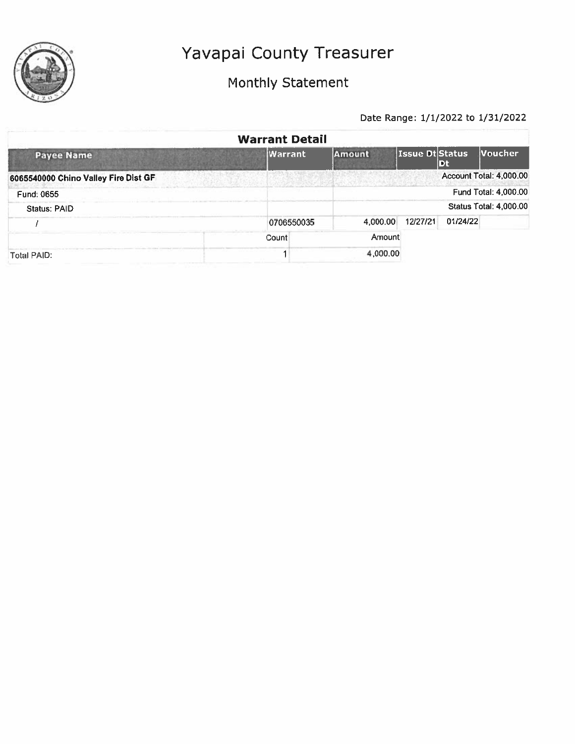

## Monthly Statement

|                                      | <b>Warrant Detail</b> |               |                 |                |                               |
|--------------------------------------|-----------------------|---------------|-----------------|----------------|-------------------------------|
| <b>Payee Name</b>                    | Warrant               | <b>Amount</b> | Issue Dt Status | $\mathbf{D}$ t | Voucher                       |
| 6065540000 Chino Valley Fire Dist GF |                       |               |                 |                | Account Total: 4,000.00       |
| Fund: 0655                           |                       |               |                 |                | Fund Total: 4,000.00          |
| Status: PAID                         |                       |               |                 |                | <b>Status Total: 4,000.00</b> |
|                                      | 0706550035            | 4,000.00      | 12/27/21        | 01/24/22       |                               |
|                                      | Count                 | Amount        |                 |                |                               |
| Total PAID:                          |                       | 4,000.00      |                 |                |                               |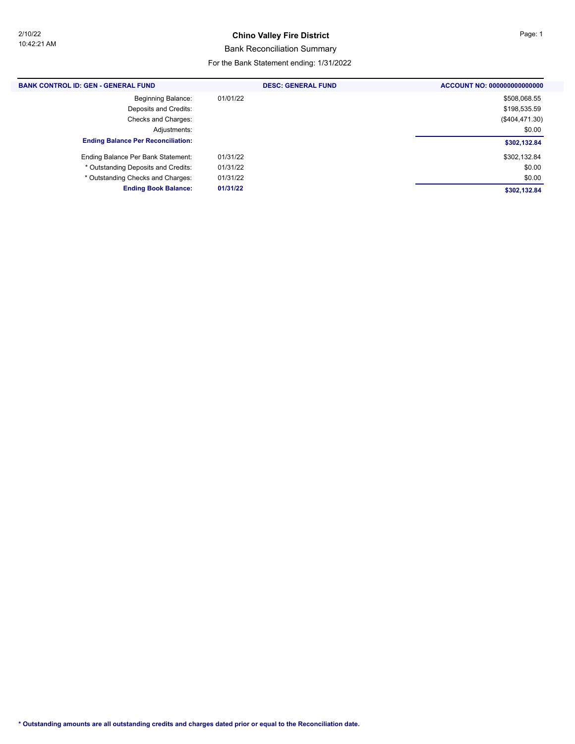### **Chino Valley Fire District Page: 1**

### Bank Reconciliation Summary

#### For the Bank Statement ending: 1/31/2022

| <b>BANK CONTROL ID: GEN - GENERAL FUND</b> | <b>DESC: GENERAL FUND</b> | ACCOUNT NO: 000000000000000 |
|--------------------------------------------|---------------------------|-----------------------------|
| Beginning Balance:                         | 01/01/22                  | \$508,068.55                |
| Deposits and Credits:                      |                           | \$198,535.59                |
| Checks and Charges:                        |                           | (\$404,471.30)              |
| Adjustments:                               |                           | \$0.00                      |
| <b>Ending Balance Per Reconciliation:</b>  |                           | \$302,132.84                |
| Ending Balance Per Bank Statement:         | 01/31/22                  | \$302,132.84                |
| * Outstanding Deposits and Credits:        | 01/31/22                  | \$0.00                      |
| * Outstanding Checks and Charges:          | 01/31/22                  | \$0.00                      |
| <b>Ending Book Balance:</b>                | 01/31/22                  | \$302,132.84                |
|                                            |                           |                             |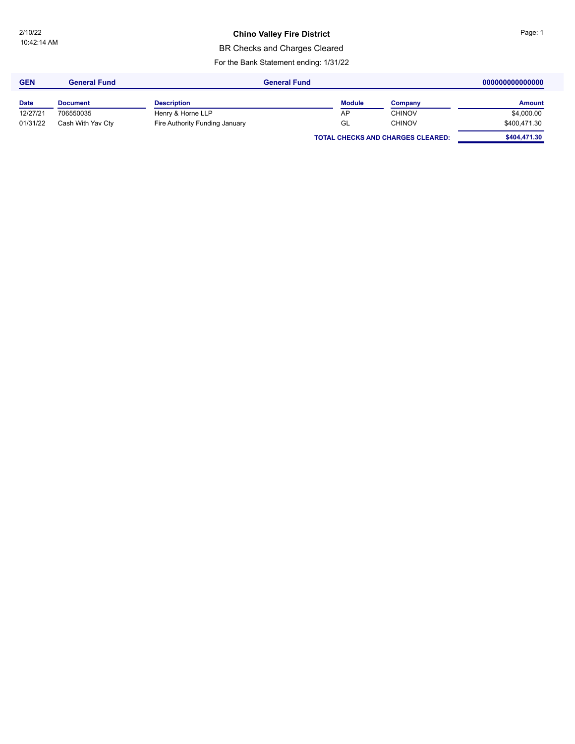### **Chino Valley Fire District Page: 1**

BR Checks and Charges Cleared

For the Bank Statement ending: 1/31/22

| <b>GEN</b>  | <b>General Fund</b> | <b>General Fund</b>            |               |                                          | 000000000000000 |
|-------------|---------------------|--------------------------------|---------------|------------------------------------------|-----------------|
| <b>Date</b> | <b>Document</b>     | <b>Description</b>             | <b>Module</b> | Company                                  | <b>Amount</b>   |
| 12/27/21    | 706550035           | Henry & Horne LLP              | AP            | <b>CHINOV</b>                            | \$4,000.00      |
| 01/31/22    | Cash With Yav Cty   | Fire Authority Funding January | GL            | <b>CHINOV</b>                            | \$400,471.30    |
|             |                     |                                |               | <b>TOTAL CHECKS AND CHARGES CLEARED:</b> | \$404,471.30    |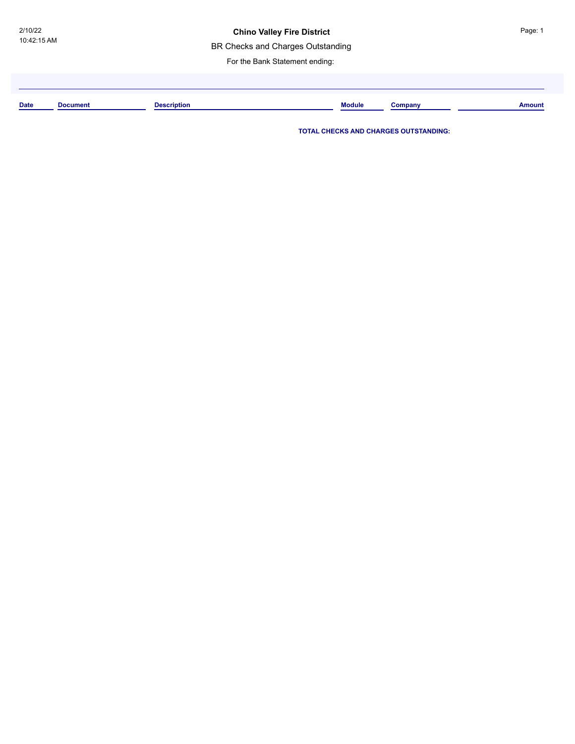### **Chino Valley Fire District**

BR Checks and Charges Outstanding

For the Bank Statement ending:

| <b>Date</b> | Document | Description<br>◡ | <b>Module</b> | `omnany<br>шуан | <b>Amount</b> |
|-------------|----------|------------------|---------------|-----------------|---------------|
|             |          |                  |               |                 |               |

**TOTAL CHECKS AND CHARGES OUTSTANDING:**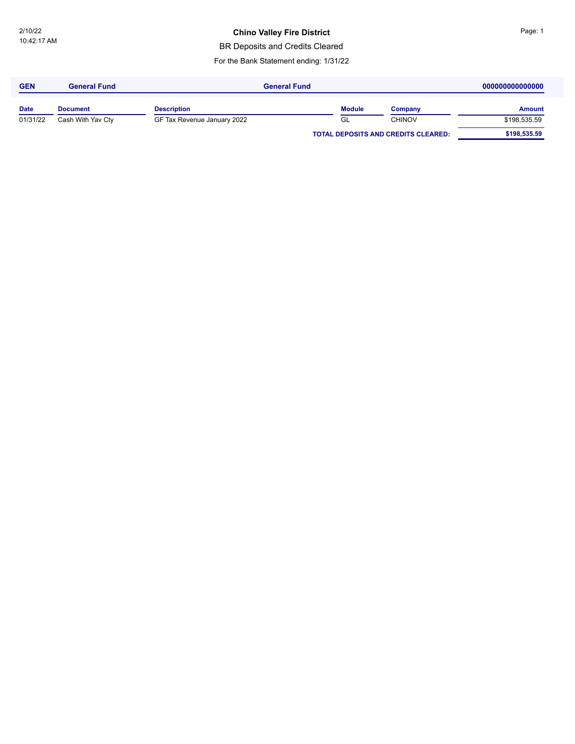### **Chino Valley Fire District Page: 1**

BR Deposits and Credits Cleared

For the Bank Statement ending: 1/31/22

| <b>GEN</b>  | <b>General Fund</b> | <b>General Fund</b>         |                                            |               | 000000000000000 |               |
|-------------|---------------------|-----------------------------|--------------------------------------------|---------------|-----------------|---------------|
| <b>Date</b> | <b>Document</b>     | <b>Description</b>          |                                            | <b>Module</b> | Company         | <b>Amount</b> |
| 01/31/22    | Cash With Yav Cty   | GF Tax Revenue January 2022 |                                            | GL            | <b>CHINOV</b>   | \$198,535.59  |
|             |                     |                             | <b>TOTAL DEPOSITS AND CREDITS CLEARED:</b> |               | \$198,535.59    |               |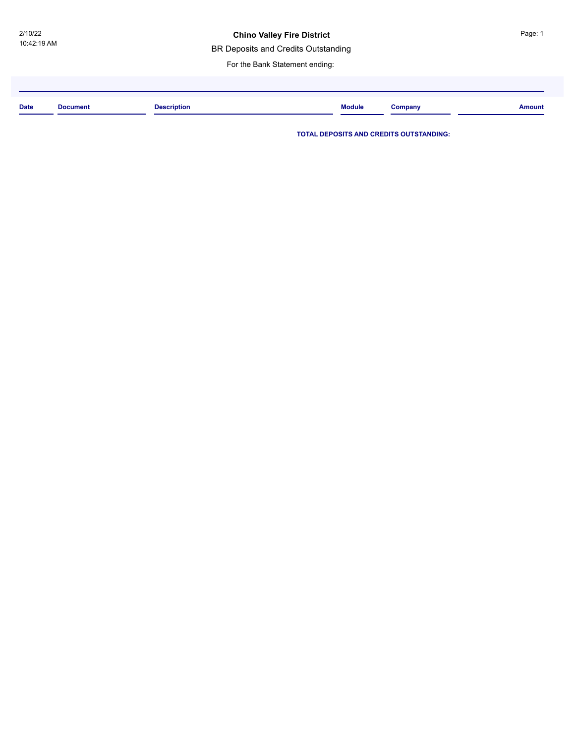### **Chino Valley Fire District**

BR Deposits and Credits Outstanding

For the Bank Statement ending:

| <b>Date</b><br>. | Document | <b>Description</b> | <b>Module</b> | Company | <b>Amount</b> |
|------------------|----------|--------------------|---------------|---------|---------------|
|                  |          |                    |               |         |               |

**TOTAL DEPOSITS AND CREDITS OUTSTANDING:**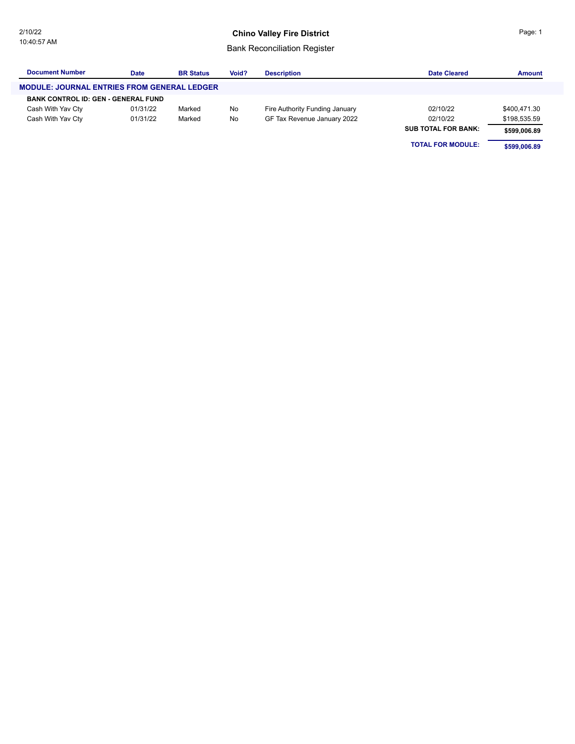### **Chino Valley Fire District**

### Bank Reconciliation Register

| <b>Document Number</b>                             | Date     | <b>BR Status</b> | Void? | <b>Description</b>             | <b>Date Cleared</b>        | <b>Amount</b> |
|----------------------------------------------------|----------|------------------|-------|--------------------------------|----------------------------|---------------|
| <b>MODULE: JOURNAL ENTRIES FROM GENERAL LEDGER</b> |          |                  |       |                                |                            |               |
| <b>BANK CONTROL ID: GEN - GENERAL FUND</b>         |          |                  |       |                                |                            |               |
| Cash With Yav Cty                                  | 01/31/22 | Marked           | No    | Fire Authority Funding January | 02/10/22                   | \$400,471.30  |
| Cash With Yav Cty                                  | 01/31/22 | Marked           | No    | GF Tax Revenue January 2022    | 02/10/22                   | \$198,535.59  |
|                                                    |          |                  |       |                                | <b>SUB TOTAL FOR BANK:</b> | \$599.006.89  |

**TOTAL FOR MODULE:** \$599,006.89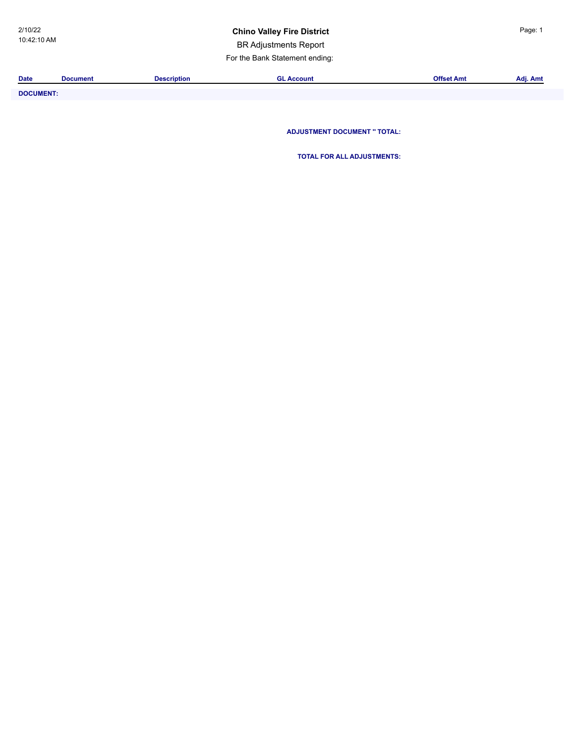### **Chino Valley Fire District Page: 1**

BR Adjustments Report

For the Bank Statement ending:

| <b>Date</b>      | <b>Document</b> | <b>Description</b> | <b>GL Account</b>                   | <b>Offset Amt</b> | Adj. Amt |
|------------------|-----------------|--------------------|-------------------------------------|-------------------|----------|
| <b>DOCUMENT:</b> |                 |                    |                                     |                   |          |
|                  |                 |                    |                                     |                   |          |
|                  |                 |                    |                                     |                   |          |
|                  |                 |                    | <b>ADJUSTMENT DOCUMENT " TOTAL:</b> |                   |          |

**TOTAL FOR ALL ADJUSTMENTS:**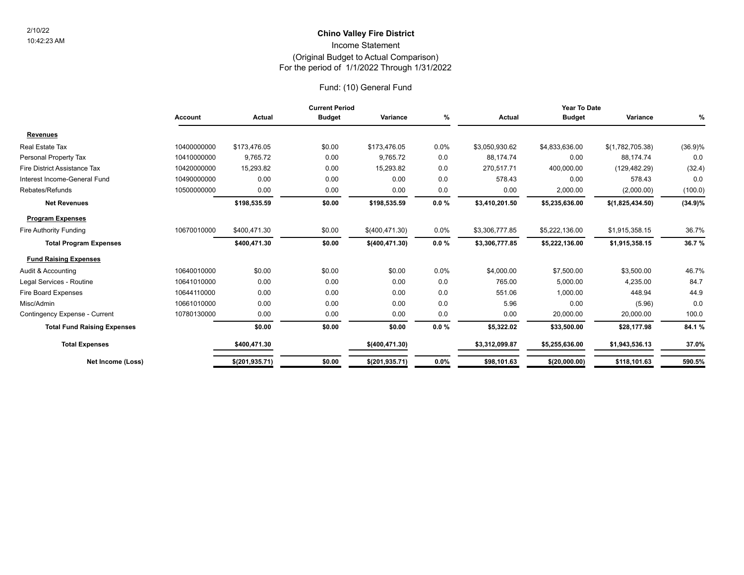### For the period of 1/1/2022 Through 1/31/2022 (Original Budget to Actual Comparison) Income Statement **Chino Valley Fire District** 2/10/22

### Fund: (10) General Fund

| <b>Current Period</b> |                 |               |                | Year To Date |                |                |                  |                                                                                   |
|-----------------------|-----------------|---------------|----------------|--------------|----------------|----------------|------------------|-----------------------------------------------------------------------------------|
| <b>Account</b>        | Actual          | <b>Budget</b> | Variance       | %            | Actual         | <b>Budget</b>  | Variance         | $\%$                                                                              |
|                       |                 |               |                |              |                |                |                  |                                                                                   |
| 10400000000           | \$173,476.05    | \$0.00        | \$173,476.05   | 0.0%         | \$3,050,930.62 | \$4,833,636.00 | \$(1,782,705.38) | (36.9)%                                                                           |
| 10410000000           | 9,765.72        | 0.00          | 9,765.72       | 0.0          | 88,174.74      | 0.00           | 88,174.74        | 0.0                                                                               |
| 10420000000           | 15,293.82       | 0.00          | 15,293.82      | 0.0          | 270,517.71     | 400,000.00     | (129, 482.29)    | (32.4)                                                                            |
| 10490000000           | 0.00            | 0.00          | 0.00           | 0.0          | 578.43         | 0.00           | 578.43           | 0.0                                                                               |
| 10500000000           | 0.00            | 0.00          | 0.00           | 0.0          | 0.00           | 2,000.00       | (2,000.00)       | (100.0)                                                                           |
|                       | \$198,535.59    | \$0.00        | \$198,535.59   | $0.0 \%$     | \$3,410,201.50 | \$5,235,636.00 | \$(1,825,434.50) | $(34.9)\%$                                                                        |
|                       |                 |               |                |              |                |                |                  |                                                                                   |
| 10670010000           | \$400,471.30    | \$0.00        | \$(400,471.30) | 0.0%         | \$3,306,777.85 | \$5,222,136.00 | \$1,915,358.15   | 36.7%                                                                             |
|                       | \$400,471.30    | \$0.00        | \$(400,471.30) | $0.0 \%$     | \$3,306,777.85 | \$5,222,136.00 | \$1,915,358.15   | 36.7%                                                                             |
|                       |                 |               |                |              |                |                |                  |                                                                                   |
| 10640010000           | \$0.00          | \$0.00        | \$0.00         | 0.0%         | \$4,000.00     | \$7,500.00     | \$3,500.00       | 46.7%                                                                             |
| 10641010000           | 0.00            | 0.00          | 0.00           | 0.0          | 765.00         | 5,000.00       | 4,235.00         | 84.7                                                                              |
| 10644110000           | 0.00            | 0.00          | 0.00           | 0.0          | 551.06         | 1,000.00       | 448.94           | 44.9                                                                              |
| 10661010000           | 0.00            | 0.00          | 0.00           | 0.0          | 5.96           | 0.00           | (5.96)           | 0.0                                                                               |
| 10780130000           | 0.00            | 0.00          | 0.00           | 0.0          | 0.00           | 20,000.00      | 20,000.00        | 100.0                                                                             |
|                       | \$0.00          | \$0.00        | \$0.00         | $0.0 \%$     | \$5,322.02     | \$33,500.00    | \$28,177.98      | 84.1 %                                                                            |
|                       | \$400,471.30    |               | \$(400,471.30) |              | \$3,312,099.87 | \$5,255,636.00 | \$1,943,536.13   | 37.0%                                                                             |
| Net Income (Loss)     | \$(201, 935.71) |               |                |              |                |                |                  | 590.5%                                                                            |
|                       |                 |               |                |              |                |                |                  | \$0.00<br>0.0%<br>\$98,101.63<br>\$(20,000.00)<br>\$118,101.63<br>\$(201, 935.71) |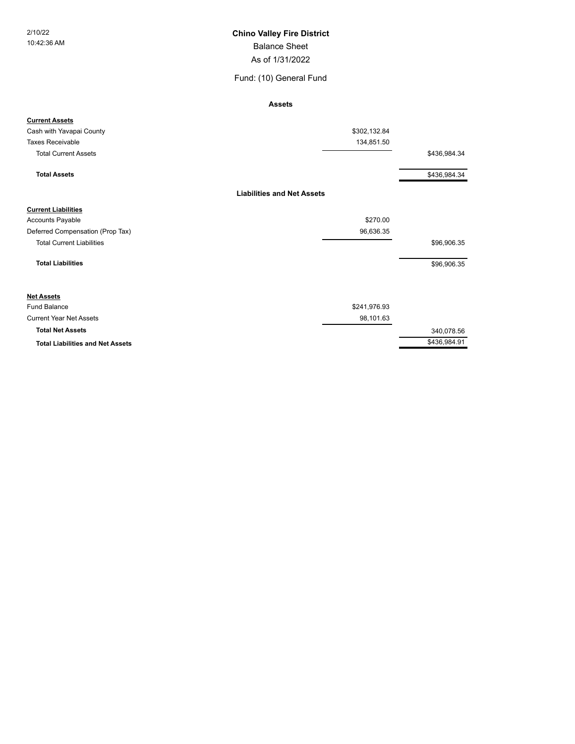### Balance Sheet 2/10/22 **Chino Valley Fire District**

As of 1/31/2022

Fund: (10) General Fund

**Assets**

| <b>Current Assets</b>                   |                                   |              |
|-----------------------------------------|-----------------------------------|--------------|
| Cash with Yavapai County                | \$302,132.84                      |              |
| <b>Taxes Receivable</b>                 | 134,851.50                        |              |
| <b>Total Current Assets</b>             |                                   | \$436,984.34 |
| <b>Total Assets</b>                     |                                   | \$436,984.34 |
|                                         | <b>Liabilities and Net Assets</b> |              |
| <b>Current Liabilities</b>              |                                   |              |
| <b>Accounts Payable</b>                 | \$270.00                          |              |
| Deferred Compensation (Prop Tax)        | 96,636.35                         |              |
| <b>Total Current Liabilities</b>        |                                   | \$96,906.35  |
| <b>Total Liabilities</b>                |                                   | \$96,906.35  |
| <b>Net Assets</b>                       |                                   |              |
| Fund Balance                            | \$241,976.93                      |              |
| <b>Current Year Net Assets</b>          | 98,101.63                         |              |
| <b>Total Net Assets</b>                 |                                   | 340,078.56   |
| <b>Total Liabilities and Net Assets</b> |                                   | \$436,984.91 |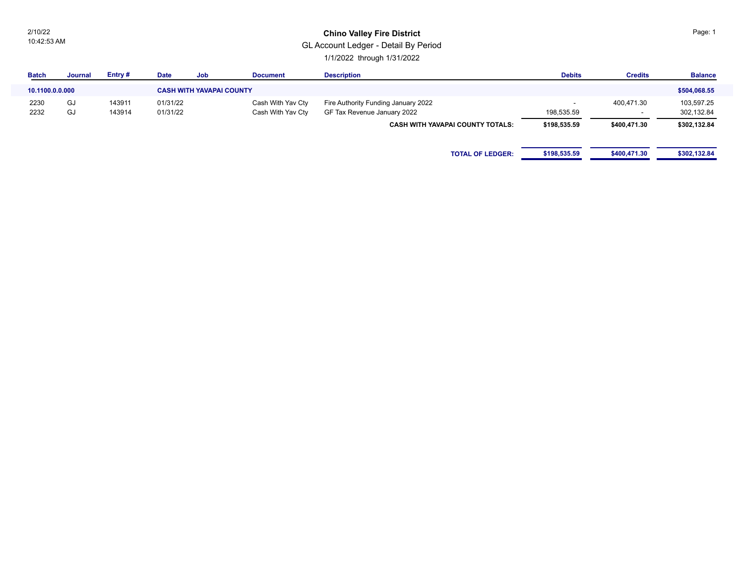2/10/22 10:42:53 AM

### **Chino Valley Fire District**

GL Account Ledger - Detail By Period

1/1/2022 through 1/31/2022

| <b>Batch</b>    | Journal | Entry# | <b>Date</b> | Job                             | <b>Document</b>   | <b>Description</b>                      | <b>Debits</b> | <b>Credits</b> | <b>Balance</b> |
|-----------------|---------|--------|-------------|---------------------------------|-------------------|-----------------------------------------|---------------|----------------|----------------|
| 10.1100.0.0.000 |         |        |             | <b>CASH WITH YAVAPAI COUNTY</b> |                   |                                         |               |                | \$504,068.55   |
| 2230            | GJ      | 143911 | 01/31/22    |                                 | Cash With Yav Cty | Fire Authority Funding January 2022     |               | 400,471.30     | 103,597.25     |
| 2232            | GJ      | 143914 | 01/31/22    |                                 | Cash With Yav Cty | GF Tax Revenue January 2022             | 198,535.59    | . .            | 302,132.84     |
|                 |         |        |             |                                 |                   | <b>CASH WITH YAVAPAI COUNTY TOTALS:</b> | \$198,535.59  | \$400,471.30   | \$302,132.84   |
|                 |         |        |             |                                 |                   |                                         |               |                |                |
|                 |         |        |             |                                 |                   | <b>TOTAL OF LEDGER:</b>                 | \$198,535.59  | \$400,471.30   | \$302,132.84   |
|                 |         |        |             |                                 |                   |                                         |               |                |                |

Page: 1